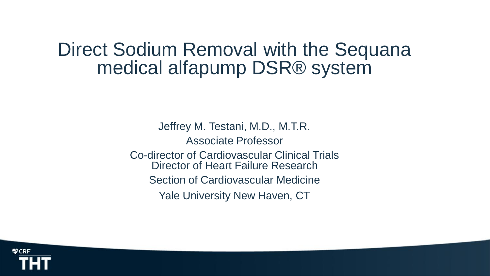# Direct Sodium Removal with the Sequana medical alfapump DSR® system

Jeffrey M. Testani, M.D., M.T.R. Associate Professor Co-director of Cardiovascular Clinical Trials Director of Heart Failure Research Section of Cardiovascular Medicine Yale University New Haven, CT

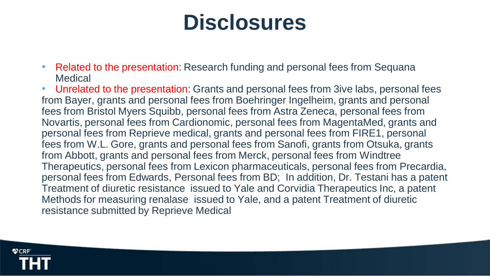# **Disclosures**

• Related to the presentation: Research funding and personal fees from Sequana **Medical** 

• Unrelated to the presentation: Grants and personal fees from 3ive labs, personal fees from Bayer, grants and personal fees from Boehringer Ingelheim, grants and personal fees from Bristol Myers Squibb, personal fees from Astra Zeneca, personal fees from Novartis, personal fees from Cardionomic, personal fees from MagentaMed, grants and personal fees from Reprieve medical, grants and personal fees from FIRE1, personal fees from W.L. Gore, grants and personal fees from Sanofi, grants from Otsuka, grants from Abbott, grants and personal fees from Merck, personal fees from Windtree Therapeutics, personal fees from Lexicon pharmaceuticals, personal fees from Precardia, personal fees from Edwards, Personal fees from BD; In addition, Dr. Testani has a patent Treatment of diuretic resistance issued to Yale and Corvidia Therapeutics Inc, a patent Methods for measuring renalase issued to Yale, and a patent Treatment of diuretic resistance submitted by Reprieve Medical

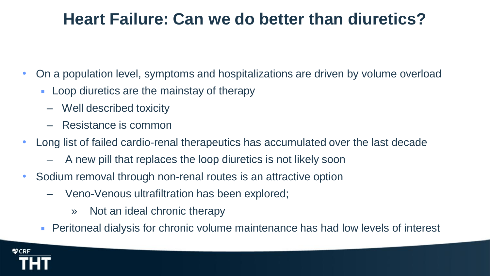# **Heart Failure: Can we do better than diuretics?**

- On a population level, symptoms and hospitalizations are driven by volume overload
	- **Loop diuretics are the mainstay of therapy** 
		- Well described toxicity
		- Resistance is common
- Long list of failed cardio-renal therapeutics has accumulated over the last decade
	- A new pill that replaces the loop diuretics is not likely soon
- Sodium removal through non-renal routes is an attractive option
	- Veno-Venous ultrafiltration has been explored;
		- » Not an ideal chronic therapy
	- Peritoneal dialysis for chronic volume maintenance has had low levels of interest

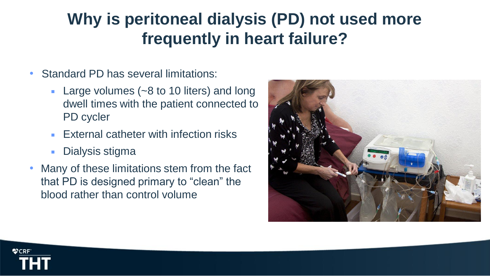# **Why is peritoneal dialysis (PD) not used more frequently in heart failure?**

- Standard PD has several limitations:
	- **Large volumes (** $\sim$ **8 to 10 liters) and long** dwell times with the patient connected to PD cycler
	- **External catheter with infection risks**
	- Dialysis stigma
- Many of these limitations stem from the fact that PD is designed primary to "clean" the blood rather than control volume



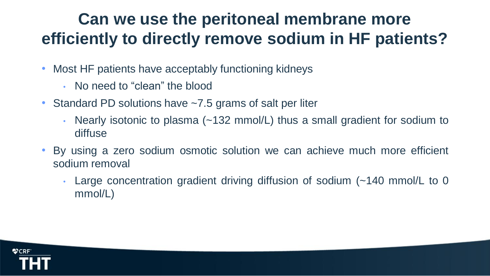# **Can we use the peritoneal membrane more efficiently to directly remove sodium in HF patients?**

- Most HF patients have acceptably functioning kidneys
	- No need to "clean" the blood
- Standard PD solutions have ~7.5 grams of salt per liter
	- Nearly isotonic to plasma (~132 mmol/L) thus a small gradient for sodium to diffuse
- By using a zero sodium osmotic solution we can achieve much more efficient sodium removal
	- Large concentration gradient driving diffusion of sodium (~140 mmol/L to 0 mmol/L)

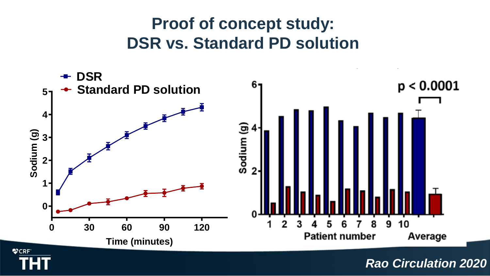# **Proof of concept study: DSR vs. Standard PD solution**



*Rao Circulation 2020*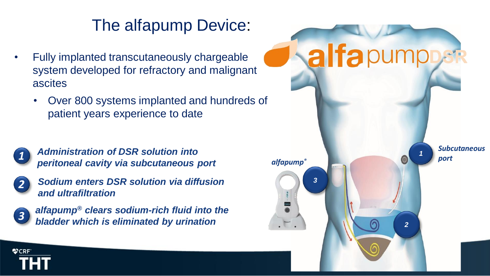# The alfapump Device:

- Fully implanted transcutaneously chargeable system developed for refractory and malignant ascites
	- Over 800 systems implanted and hundreds of patient years experience to date



*Administration of DSR solution into peritoneal cavity via subcutaneous port alfapump®*



*Sodium enters DSR solution via diffusion and ultrafiltration*



**OCRF** 

*alfapump® clears sodium-rich fluid into the bladder which is eliminated by urination*

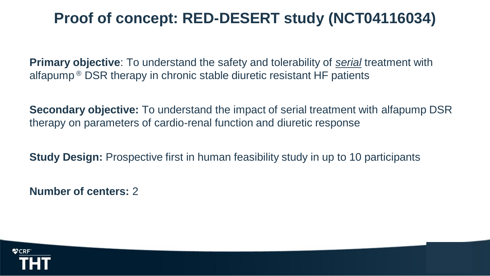### **Proof of concept: RED-DESERT study (NCT04116034)**

**Primary objective**: To understand the safety and tolerability of *serial* treatment with alfapump ® DSR therapy in chronic stable diuretic resistant HF patients

**Secondary objective:** To understand the impact of serial treatment with alfapump DSR therapy on parameters of cardio-renal function and diuretic response

**Study Design:** Prospective first in human feasibility study in up to 10 participants

**Number of centers:** 2

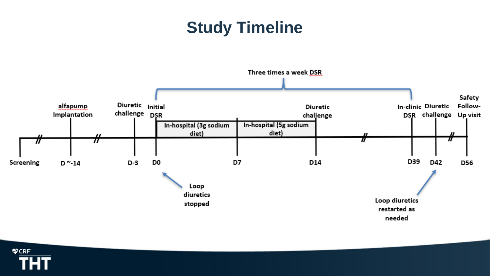# **Study Timeline**



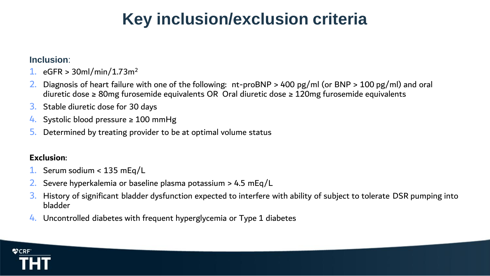# **Key inclusion/exclusion criteria**

#### **Inclusion**:

- 1.  $eGFR > 30$ ml/min/1.73m<sup>2</sup>
- 2. Diagnosis of heart failure with one of the following: nt-proBNP > 400 pg/ml (or BNP > 100 pg/ml) and oral diuretic dose ≥ 80mg furosemide equivalents OR Oral diuretic dose ≥ 120mg furosemide equivalents
- 3. Stable diuretic dose for 30 days
- 4. Systolic blood pressure  $\geq 100$  mmHg
- 5. Determined by treating provider to be at optimal volume status

#### **Exclusion**:

- 1. Serum sodium < 135 mEq/L
- 2. Severe hyperkalemia or baseline plasma potassium > 4.5 mEq/L
- 3. History of significant bladder dysfunction expected to interfere with ability of subject to tolerate DSR pumping into bladder
- 4. Uncontrolled diabetes with frequent hyperglycemia or Type 1 diabetes

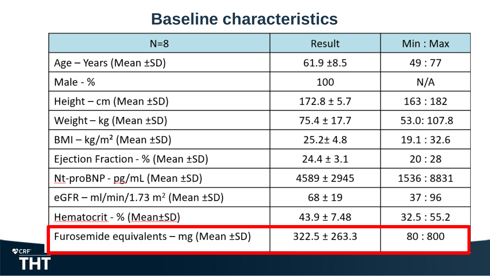### **Baseline characteristics**

| $N=8$                                             | Result            | Min:Max     |
|---------------------------------------------------|-------------------|-------------|
| Age $-$ Years (Mean $\pm$ SD)                     | $61.9 \pm 8.5$    | 49:77       |
| Male - %                                          | 100               | N/A         |
| Height – $cm$ (Mean $\pm SD$ )                    | $172.8 \pm 5.7$   | 163:182     |
| Weight – kg (Mean $\pm$ SD)                       | $75.4 \pm 17.7$   | 53.0: 107.8 |
| $BMI - kg/m2$ (Mean $\pm SD$ )                    | $25.2 \pm 4.8$    | 19.1:32.6   |
| Ejection Fraction - % (Mean ±SD)                  | $24.4 \pm 3.1$    | 20:28       |
| $Nt$ -proBNP - pg/mL (Mean $\pm$ SD)              | $4589 \pm 2945$   | 1536:8831   |
| eGFR – ml/min/1.73 m <sup>2</sup> (Mean $\pm$ SD) | $68 \pm 19$       | 37:96       |
| Hematocrit - % (Mean±SD)                          | $43.9 \pm 7.48$   | 32.5:55.2   |
| Furosemide equivalents – mg (Mean $\pm$ SD)       | $322.5 \pm 263.3$ | 80:800      |

**VCRF**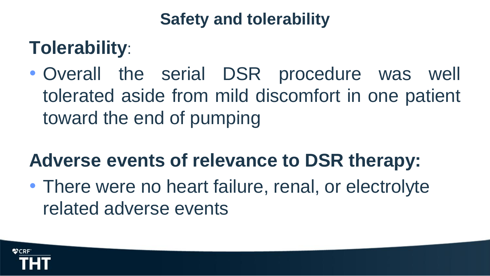# **Safety and tolerability**

# **Tolerability**:

• Overall the serial DSR procedure was well tolerated aside from mild discomfort in one patient toward the end of pumping

# **Adverse events of relevance to DSR therapy:**

• There were no heart failure, renal, or electrolyte related adverse events

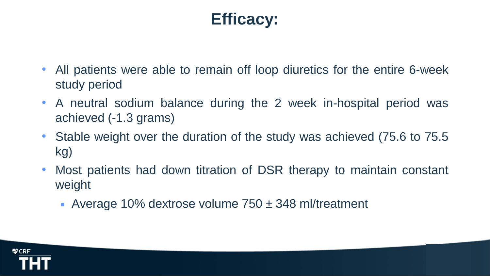# **Efficacy:**

- All patients were able to remain off loop diuretics for the entire 6-week study period
- A neutral sodium balance during the 2 week in-hospital period was achieved (-1.3 grams)
- Stable weight over the duration of the study was achieved (75.6 to 75.5) kg)
- Most patients had down titration of DSR therapy to maintain constant weight
	- Average 10% dextrose volume  $750 \pm 348$  ml/treatment

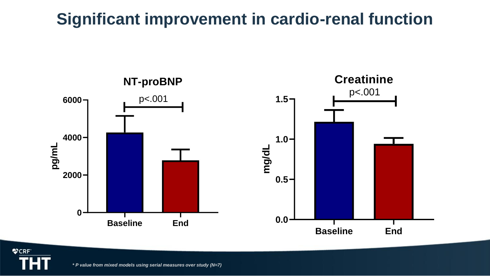# **Significant improvement in cardio-renal function**



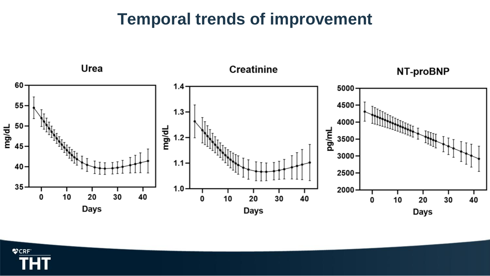### **Temporal trends of improvement**



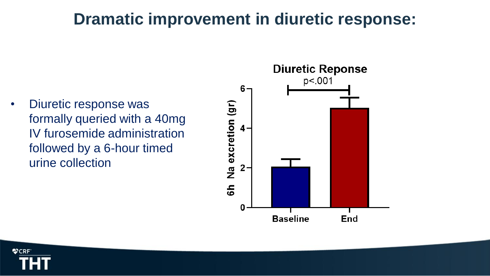### **Dramatic improvement in diuretic response:**

• Diuretic response was formally queried with a 40mg IV furosemide administration followed by a 6-hour timed urine collection



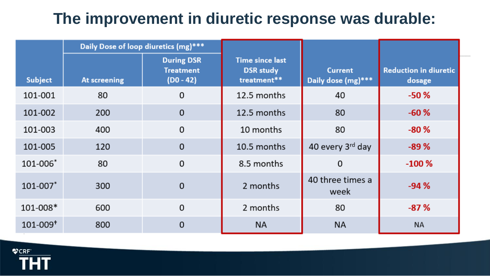### **The improvement in diuretic response was durable:**

|                          | Daily Dose of loop diuretics (mg)*** |                                                      |                                                           |                                      |                                        |
|--------------------------|--------------------------------------|------------------------------------------------------|-----------------------------------------------------------|--------------------------------------|----------------------------------------|
| <b>Subject</b>           | At screening                         | <b>During DSR</b><br><b>Treatment</b><br>$(D0 - 42)$ | <b>Time since last</b><br><b>DSR</b> study<br>treatment** | <b>Current</b><br>Daily dose (mg)*** | <b>Reduction in diuretic</b><br>dosage |
| 101-001                  | 80                                   | 0                                                    | 12.5 months                                               | 40                                   | $-50%$                                 |
| 101-002                  | 200                                  | $\mathbf 0$                                          | 12.5 months                                               | 80                                   | $-60%$                                 |
| 101-003                  | 400                                  | $\mathbf 0$                                          | 10 months                                                 | 80                                   | $-80%$                                 |
| 101-005                  | 120                                  | $\mathbf 0$                                          | 10.5 months                                               | 40 every 3rd day                     | $-89%$                                 |
| 101-006*                 | 80                                   | $\mathbf 0$                                          | 8.5 months                                                | 0                                    | $-100%$                                |
| 101-007*                 | 300                                  | $\mathbf 0$                                          | 2 months                                                  | 40 three times a<br>week             | $-94%$                                 |
| 101-008*                 | 600                                  | $\mathbf 0$                                          | 2 months                                                  | 80                                   | $-87%$                                 |
| $101 - 009$ <sup>+</sup> | 800                                  | $\mathbf 0$                                          | <b>NA</b>                                                 | <b>NA</b>                            | <b>NA</b>                              |

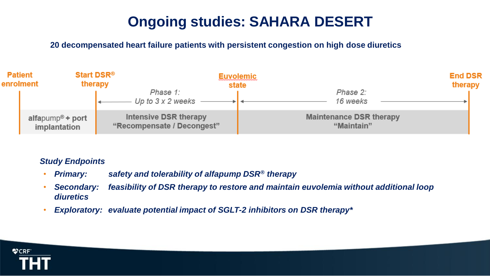### **Ongoing studies: SAHARA DESERT**

**20 decompensated heart failure patients with persistent congestion on high dose diuretics** 



#### *Study Endpoints*

- *Primary: safety and tolerability of alfapump DSR® therapy*
- *Secondary: feasibility of DSR therapy to restore and maintain euvolemia without additional loop diuretics*
- *Exploratory: evaluate potential impact of SGLT-2 inhibitors on DSR therapy\**

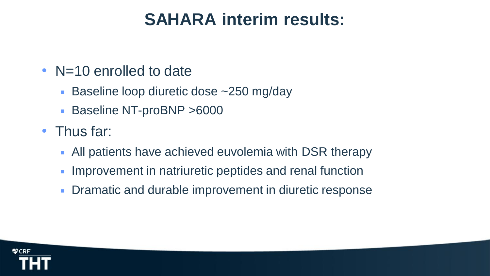# **SAHARA interim results:**

### • N=10 enrolled to date

- Baseline loop diuretic dose ~250 mg/day
- Baseline NT-proBNP >6000
- Thus far:
	- All patients have achieved euvolemia with DSR therapy
	- **Improvement in natriuretic peptides and renal function**
	- **Dramatic and durable improvement in diuretic response**

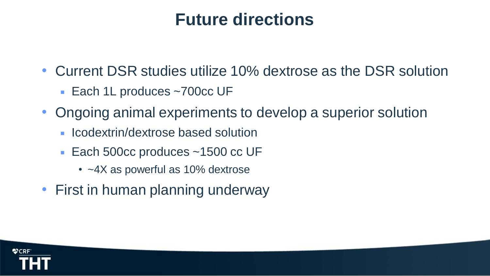# **Future directions**

- Current DSR studies utilize 10% dextrose as the DSR solution
	- Each 1L produces ~700cc UF
- Ongoing animal experiments to develop a superior solution
	- **In Icodextrin/dextrose based solution**
	- Each 500cc produces ~1500 cc UF
		- ~4X as powerful as 10% dextrose
- First in human planning underway